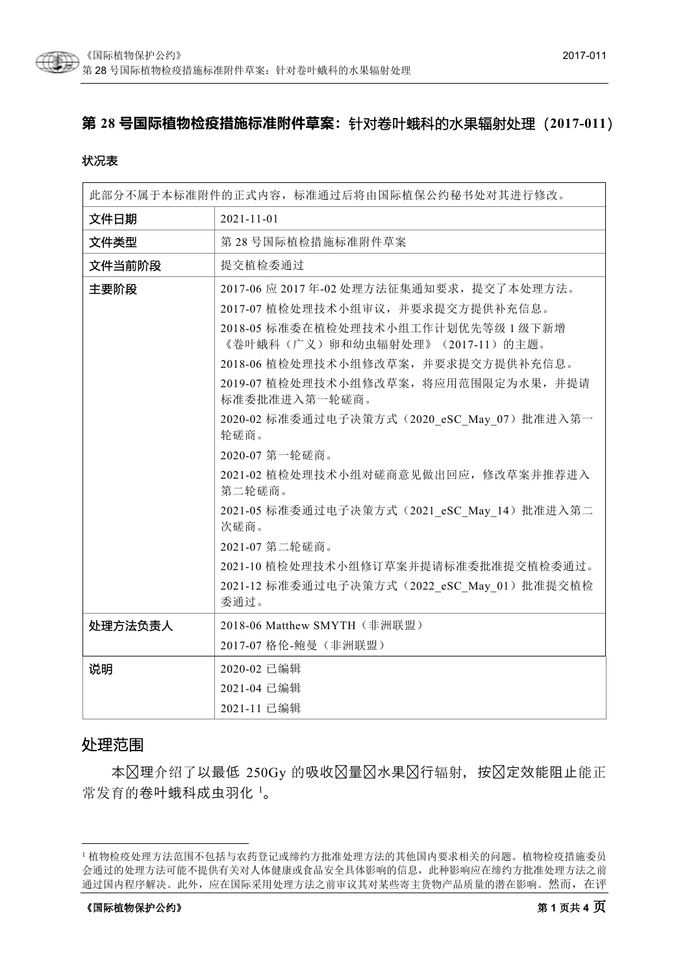

# **第 28 号国际植物检疫措施标准附件草案:**针对卷叶蛾科的水果辐射处理(**2017-011**)

#### 状况表

| 此部分不属于本标准附件的正式内容,标准通过后将由国际植保公约秘书处对其进行修改。 |                                                                        |
|------------------------------------------|------------------------------------------------------------------------|
| 文件日期                                     | $2021 - 11 - 01$                                                       |
| 文件类型                                     | 第28号国际植检措施标准附件草案                                                       |
| 文件当前阶段                                   | 提交植检委通过                                                                |
| 主要阶段                                     | 2017-06 应 2017年-02 处理方法征集通知要求, 提交了本处理方法。                               |
|                                          | 2017-07 植检处理技术小组审议,并要求提交方提供补充信息。                                       |
|                                          | 2018-05 标准委在植检处理技术小组工作计划优先等级 1 级下新增<br>《卷叶蛾科(广义)卵和幼虫辐射处理》(2017-11)的主题。 |
|                                          | 2018-06 植检处理技术小组修改草案, 并要求提交方提供补充信息。                                    |
|                                          | 2019-07 植检处理技术小组修改草案, 将应用范围限定为水果, 并提请<br>标准委批准进入第一轮磋商。                 |
|                                          | 2020-02 标准委通过电子决策方式 (2020_eSC_May_07) 批准进入第一<br>轮磋商。                   |
|                                          | 2020-07 第一轮磋商。                                                         |
|                                          | 2021-02 植检处理技术小组对磋商意见做出回应, 修改草案并推荐进入<br>第二轮磋商。                         |
|                                          | 2021-05 标准委通过电子决策方式 (2021 eSC May 14) 批准进入第二<br>次磋商。                   |
|                                          | 2021-07 第二轮磋商。                                                         |
|                                          | 2021-10 植检处理技术小组修订草案并提请标准委批准提交植检委通过。                                   |
|                                          | 2021-12 标准委通过电子决策方式 (2022 eSC May 01) 批准提交植检<br>委通过。                   |
| 处理方法负责人                                  | 2018-06 Matthew SMYTH (非洲联盟)                                           |
|                                          | 2017-07 格伦-鲍曼(非洲联盟)                                                    |
| 说明                                       | 2020-02 已编辑                                                            |
|                                          | 2021-04 已编辑                                                            |
|                                          | 2021-11 已编辑                                                            |

## 处理范围

本区理介绍了以最低 250Gy 的吸收区量区水果区行辐射, 按区定效能阻止能正 常发育的卷叶蛾科成虫羽化 [1](#page-0-0)。

<span id="page-0-0"></span> <sup>1</sup> 植物检疫处理方法范围不包括与农药登记或缔约方批准处理方法的其他国内要求相关的问题。植物检疫措施委员 会通过的处理方法可能不提供有关对人体健康或食品安全具体影响的信息,此种影响应在缔约方批准处理方法之前 通过国内程序解决。此外,应在国际采用处理方法之前审议其对某些寄主货物产品质量的潜在影响。然而,在评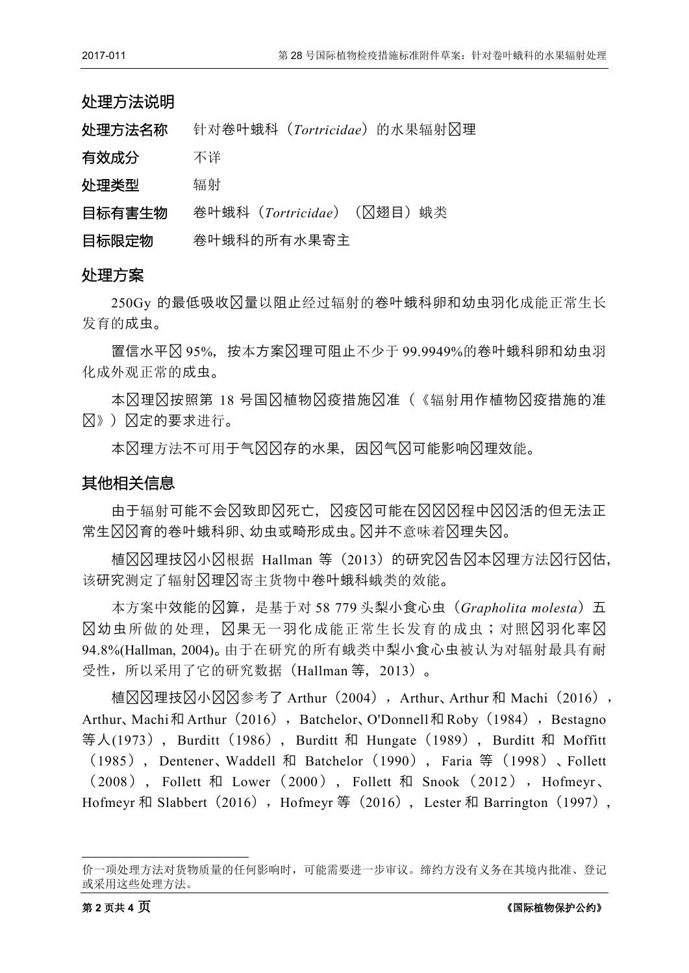| 处理方法说明 |                                |
|--------|--------------------------------|
| 处理方法名称 | 针对卷叶蛾科 (Tortricidae) 的水果辐射冈理   |
| 有效成分   | 不详                             |
| 处理类型   | 辐射                             |
| 目标有害生物 | 卷叶蛾科 (Tortricidae) (区翅目)<br>蛾类 |
| 目标限定物  | 卷叶蛾科的所有水果寄主                    |

### 处理方案

250Gy 的最低吸收剂量以阻止经过辐射的卷叶蛾科卵和幼虫羽化成能正常生长 发育的成虫。

置信水平为 95%,按本方案处理可阻止不少于 99.9949%的卷叶蛾科卵和幼虫羽 化成外观正常的成虫。

本冈理冈按照第 18 号国冈植物冈疫措施冈准 (《辐射用作植物冈疫措施的准 则》)规定的要求进行。

本冈理方法不可用于气冈冈存的水果,因冈气冈可能影响冈理效能。

### 其他相关信息

由于辐射可能不会区致即区死亡, 风疫冈可能在冈冈忍程中冈冈活的但无法正 常生风风育的卷叶蛾科卵、幼虫或畸形成虫。风并不意味着风理失风。

植冈冈理技冈小冈根据 Hallman 等(2013)的研究冈告冈本冈理方法冈行冈估, 该研究测定了辐射风理风寄主货物中卷叶蛾科蛾类的效能。

本方案中效能的计算,是基于对 58 779 头梨小食心虫(*Grapholita molesta*)五 冈幼虫所做的处理, 冈果无一羽化成能正常生长发育的成虫;对照冈羽化率冈 94.8%(Hallman, 2004)。由于在研究的所有蛾类中梨小食心虫被认为对辐射最具有耐 受性,所以采用了它的研究数据(Hallman 等,2013)。

植⊠⊠理技⊠小図図参考了 Arthur (2004), Arthur、Arthur 和 Machi (2016), Arthur、Machi和 Arthur(2016), Batchelor、O'Donnell和 Roby(1984), Bestagno 等人(1973), Burditt (1986), Burditt 和 Hungate (1989), Burditt 和 Moffitt (1985),Dentener、Waddell 和 Batchelor(1990),Faria 等(1998)、Follett (2008) , Follett 和 Lower (2000 ) , Follett 和 Snook ( 2012 ), Hofmeyr 、 Hofmeyr 和 Slabbert (2016), Hofmeyr 等 (2016), Lester 和 Barrington (1997),

<u>.</u>

价一项处理方法对货物质量的任何影响时,可能需要进一步审议。缔约方没有义务在其境内批准、登记 或采用这些处理方法。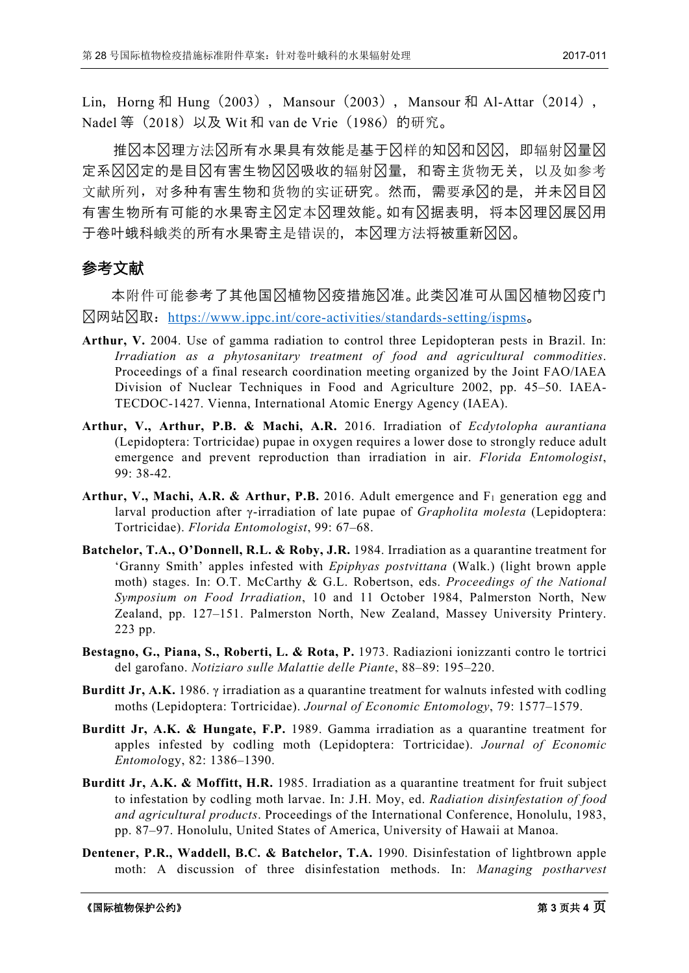Lin, Horng 和 Hung (2003), Mansour (2003), Mansour 和 Al-Attar (2014), Nadel 等 (2018) 以及 Wit 和 van de Vrie (1986) 的研究。

推风本风理方法风所有水果具有效能是基于风样的知风和风风,即辐射风量风 定系冈冈定的是目冈有害生物冈冈吸收的辐射冈量,和寄主货物无关,以及如参考 文献所列,对多种有害生物和货物的实证研究。然而,需要承冈的是,并未冈目冈 有害生物所有可能的水果寄主冈定本冈理效能。如有冈据表明,将本冈理冈展冈用 于卷叶蛾科蛾类的所有水果寄主是错误的,本冈理方法将被重新冈冈。

## 参考文献

本附件可能参考了其他国冈植物冈疫措施冈准。此类冈准可从国冈植物冈疫门 户网站获取:<https://www.ippc.int/core-activities/standards-setting/ispms>。

- **Arthur, V.** 2004. Use of gamma radiation to control three Lepidopteran pests in Brazil. In: *Irradiation as a phytosanitary treatment of food and agricultural commodities*. Proceedings of a final research coordination meeting organized by the Joint FAO/IAEA Division of Nuclear Techniques in Food and Agriculture 2002, pp. 45–50. IAEA-TECDOC-1427. Vienna, International Atomic Energy Agency (IAEA).
- **Arthur, V., Arthur, P.B. & Machi, A.R.** 2016. Irradiation of *Ecdytolopha aurantiana* (Lepidoptera: Tortricidae) pupae in oxygen requires a lower dose to strongly reduce adult emergence and prevent reproduction than irradiation in air. *Florida Entomologist*, 99: 38-42.
- Arthur, V., Machi, A.R. & Arthur, P.B. 2016. Adult emergence and F<sub>1</sub> generation egg and larval production after γ-irradiation of late pupae of *Grapholita molesta* (Lepidoptera: Tortricidae). *Florida Entomologist*, 99: 67–68.
- **Batchelor, T.A., O'Donnell, R.L. & Roby, J.R.** 1984. Irradiation as a quarantine treatment for 'Granny Smith' apples infested with *Epiphyas postvittana* (Walk.) (light brown apple moth) stages. In: O.T. McCarthy & G.L. Robertson, eds. *Proceedings of the National Symposium on Food Irradiation*, 10 and 11 October 1984, Palmerston North, New Zealand, pp. 127–151. Palmerston North, New Zealand, Massey University Printery. 223 pp.
- **Bestagno, G., Piana, S., Roberti, L. & Rota, P.** 1973. Radiazioni ionizzanti contro le tortrici del garofano. *Notiziaro sulle Malattie delle Piante*, 88–89: 195–220.
- **Burditt Jr, A.K.** 1986.  $\gamma$  irradiation as a quarantine treatment for walnuts infested with codling moths (Lepidoptera: Tortricidae). *Journal of Economic Entomology*, 79: 1577–1579.
- **Burditt Jr, A.K. & Hungate, F.P.** 1989. Gamma irradiation as a quarantine treatment for apples infested by codling moth (Lepidoptera: Tortricidae). *Journal of Economic Entomol*ogy, 82: 1386–1390.
- **Burditt Jr, A.K. & Moffitt, H.R.** 1985. Irradiation as a quarantine treatment for fruit subject to infestation by codling moth larvae. In: J.H. Moy, ed. *Radiation disinfestation of food and agricultural products*. Proceedings of the International Conference, Honolulu, 1983, pp. 87–97. Honolulu, United States of America, University of Hawaii at Manoa.
- **Dentener, P.R., Waddell, B.C. & Batchelor, T.A.** 1990. Disinfestation of lightbrown apple moth: A discussion of three disinfestation methods. In: *Managing postharvest*